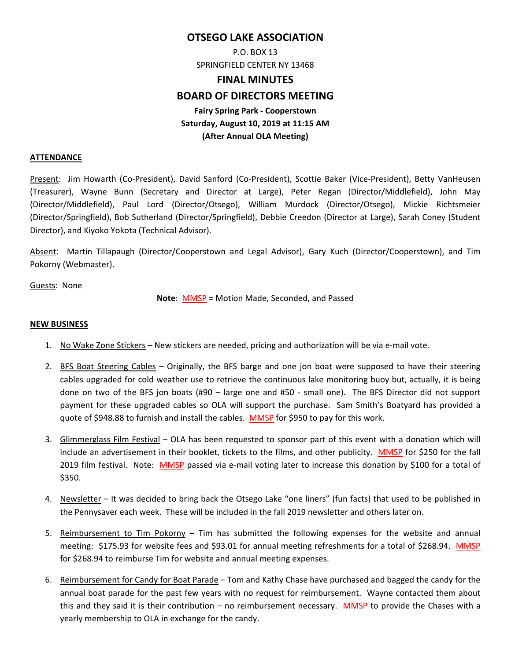# **OTSEGO LAKE ASSOCIATION**

P.O. BOX 13 SPRINGFIELD CENTER NY 13468

# **FINAL MINUTES**

# **BOARD OF DIRECTORS MEETING**

# **Fairy Spring Park ‐ Cooperstown Saturday, August 10, 2019 at 11:15 AM (After Annual OLA Meeting)**

## **ATTENDANCE**

Present: Jim Howarth (Co-President), David Sanford (Co-President), Scottie Baker (Vice-President), Betty VanHeusen (Treasurer), Wayne Bunn (Secretary and Director at Large), Peter Regan (Director/Middlefield), John May (Director/Middlefield), Paul Lord (Director/Otsego), William Murdock (Director/Otsego), Mickie Richtsmeier (Director/Springfield), Bob Sutherland (Director/Springfield), Debbie Creedon (Director at Large), Sarah Coney (Student Director), and Kiyoko Yokota (Technical Advisor).

Absent: Martin Tillapaugh (Director/Cooperstown and Legal Advisor), Gary Kuch (Director/Cooperstown), and Tim Pokorny (Webmaster).

Guests: None

**Note**: MMSP = Motion Made, Seconded, and Passed

## **NEW BUSINESS**

- 1. No Wake Zone Stickers New stickers are needed, pricing and authorization will be via e‐mail vote.
- 2. BFS Boat Steering Cables Originally, the BFS barge and one jon boat were supposed to have their steering cables upgraded for cold weather use to retrieve the continuous lake monitoring buoy but, actually, it is being done on two of the BFS jon boats  $(490 - \text{large one and } 450 - \text{small one})$ . The BFS Director did not support payment for these upgraded cables so OLA will support the purchase. Sam Smith's Boatyard has provided a quote of \$948.88 to furnish and install the cables. MMSP for \$950 to pay for this work.
- 3. Glimmerglass Film Festival OLA has been requested to sponsor part of this event with a donation which will include an advertisement in their booklet, tickets to the films, and other publicity. MMSP for \$250 for the fall 2019 film festival. Note: MMSP passed via e-mail voting later to increase this donation by \$100 for a total of \$350.
- 4. Newsletter It was decided to bring back the Otsego Lake "one liners" (fun facts) that used to be published in the Pennysaver each week. These will be included in the fall 2019 newsletter and others later on.
- 5. Reimbursement to Tim Pokorny Tim has submitted the following expenses for the website and annual meeting: \$175.93 for website fees and \$93.01 for annual meeting refreshments for a total of \$268.94. MMSP for \$268.94 to reimburse Tim for website and annual meeting expenses.
- 6. Reimbursement for Candy for Boat Parade Tom and Kathy Chase have purchased and bagged the candy for the annual boat parade for the past few years with no request for reimbursement. Wayne contacted them about this and they said it is their contribution – no reimbursement necessary. MMSP to provide the Chases with a yearly membership to OLA in exchange for the candy.